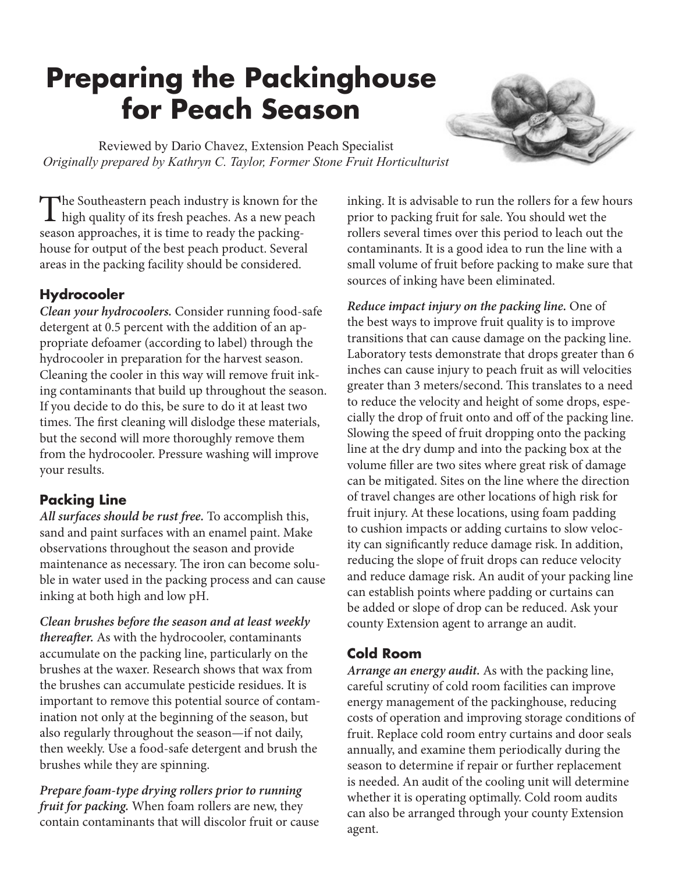# **Preparing the Packinghouse for Peach Season**

Reviewed by Dario Chavez, Extension Peach Specialist *Originally prepared by Kathryn C. Taylor, Former Stone Fruit Horticulturist*

The Southeastern peach industry is known for the high quality of its fresh peaches. As a new peach season approaches, it is time to ready the packinghouse for output of the best peach product. Several areas in the packing facility should be considered.

# **Hydrocooler**

*Clean your hydrocoolers.* Consider running food-safe detergent at 0.5 percent with the addition of an appropriate defoamer (according to label) through the hydrocooler in preparation for the harvest season. Cleaning the cooler in this way will remove fruit inking contaminants that build up throughout the season. If you decide to do this, be sure to do it at least two times. The first cleaning will dislodge these materials, but the second will more thoroughly remove them from the hydrocooler. Pressure washing will improve your results.

### **Packing Line**

*All surfaces should be rust free.* To accomplish this, sand and paint surfaces with an enamel paint. Make observations throughout the season and provide maintenance as necessary. The iron can become soluble in water used in the packing process and can cause inking at both high and low pH.

*Clean brushes before the season and at least weekly thereafter.* As with the hydrocooler, contaminants accumulate on the packing line, particularly on the brushes at the waxer. Research shows that wax from the brushes can accumulate pesticide residues. It is important to remove this potential source of contamination not only at the beginning of the season, but also regularly throughout the season—if not daily, then weekly. Use a food-safe detergent and brush the brushes while they are spinning.

*Prepare foam-type drying rollers prior to running fruit for packing.* When foam rollers are new, they contain contaminants that will discolor fruit or cause inking. It is advisable to run the rollers for a few hours prior to packing fruit for sale. You should wet the rollers several times over this period to leach out the contaminants. It is a good idea to run the line with a small volume of fruit before packing to make sure that sources of inking have been eliminated.

*Reduce impact injury on the packing line.* One of the best ways to improve fruit quality is to improve transitions that can cause damage on the packing line. Laboratory tests demonstrate that drops greater than 6 inches can cause injury to peach fruit as will velocities greater than 3 meters/second. This translates to a need to reduce the velocity and height of some drops, especially the drop of fruit onto and off of the packing line. Slowing the speed of fruit dropping onto the packing line at the dry dump and into the packing box at the volume filler are two sites where great risk of damage can be mitigated. Sites on the line where the direction of travel changes are other locations of high risk for fruit injury. At these locations, using foam padding to cushion impacts or adding curtains to slow velocity can significantly reduce damage risk. In addition, reducing the slope of fruit drops can reduce velocity and reduce damage risk. An audit of your packing line can establish points where padding or curtains can be added or slope of drop can be reduced. Ask your county Extension agent to arrange an audit.

### **Cold Room**

*Arrange an energy audit.* As with the packing line, careful scrutiny of cold room facilities can improve energy management of the packinghouse, reducing costs of operation and improving storage conditions of fruit. Replace cold room entry curtains and door seals annually, and examine them periodically during the season to determine if repair or further replacement is needed. An audit of the cooling unit will determine whether it is operating optimally. Cold room audits can also be arranged through your county Extension agent.